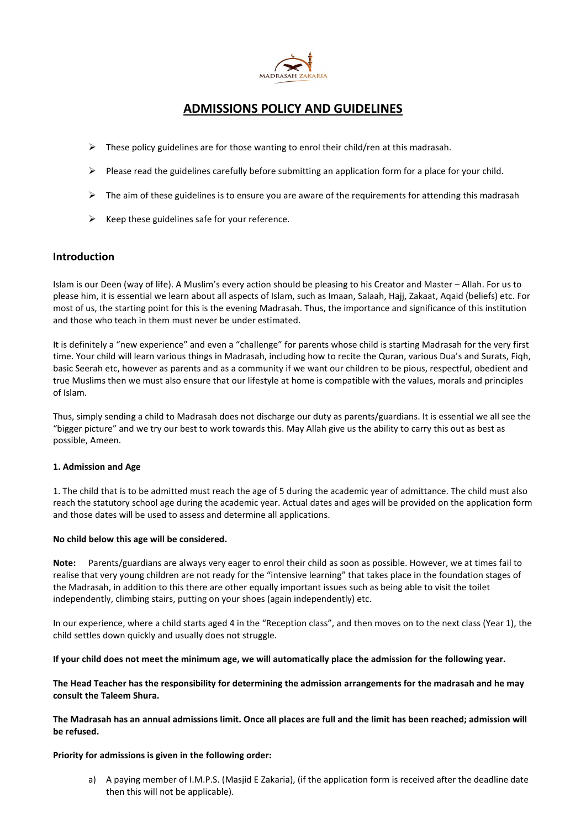

# ADMISSIONS POLICY AND GUIDELINES

- $\triangleright$  These policy guidelines are for those wanting to enrol their child/ren at this madrasah.
- $\triangleright$  Please read the guidelines carefully before submitting an application form for a place for your child.
- $\triangleright$  The aim of these guidelines is to ensure you are aware of the requirements for attending this madrasah
- $\triangleright$  Keep these guidelines safe for your reference.

## Introduction

Islam is our Deen (way of life). A Muslim's every action should be pleasing to his Creator and Master – Allah. For us to please him, it is essential we learn about all aspects of Islam, such as Imaan, Salaah, Hajj, Zakaat, Aqaid (beliefs) etc. For most of us, the starting point for this is the evening Madrasah. Thus, the importance and significance of this institution and those who teach in them must never be under estimated.

It is definitely a "new experience" and even a "challenge" for parents whose child is starting Madrasah for the very first time. Your child will learn various things in Madrasah, including how to recite the Quran, various Dua's and Surats, Fiqh, basic Seerah etc, however as parents and as a community if we want our children to be pious, respectful, obedient and true Muslims then we must also ensure that our lifestyle at home is compatible with the values, morals and principles of Islam.

Thus, simply sending a child to Madrasah does not discharge our duty as parents/guardians. It is essential we all see the "bigger picture" and we try our best to work towards this. May Allah give us the ability to carry this out as best as possible, Ameen.

## 1. Admission and Age

1. The child that is to be admitted must reach the age of 5 during the academic year of admittance. The child must also reach the statutory school age during the academic year. Actual dates and ages will be provided on the application form and those dates will be used to assess and determine all applications.

## No child below this age will be considered.

Note: Parents/guardians are always very eager to enrol their child as soon as possible. However, we at times fail to realise that very young children are not ready for the "intensive learning" that takes place in the foundation stages of the Madrasah, in addition to this there are other equally important issues such as being able to visit the toilet independently, climbing stairs, putting on your shoes (again independently) etc.

In our experience, where a child starts aged 4 in the "Reception class", and then moves on to the next class (Year 1), the child settles down quickly and usually does not struggle.

If your child does not meet the minimum age, we will automatically place the admission for the following year.

The Head Teacher has the responsibility for determining the admission arrangements for the madrasah and he may consult the Taleem Shura.

The Madrasah has an annual admissions limit. Once all places are full and the limit has been reached; admission will be refused.

## Priority for admissions is given in the following order:

a) A paying member of I.M.P.S. (Masjid E Zakaria), (if the application form is received after the deadline date then this will not be applicable).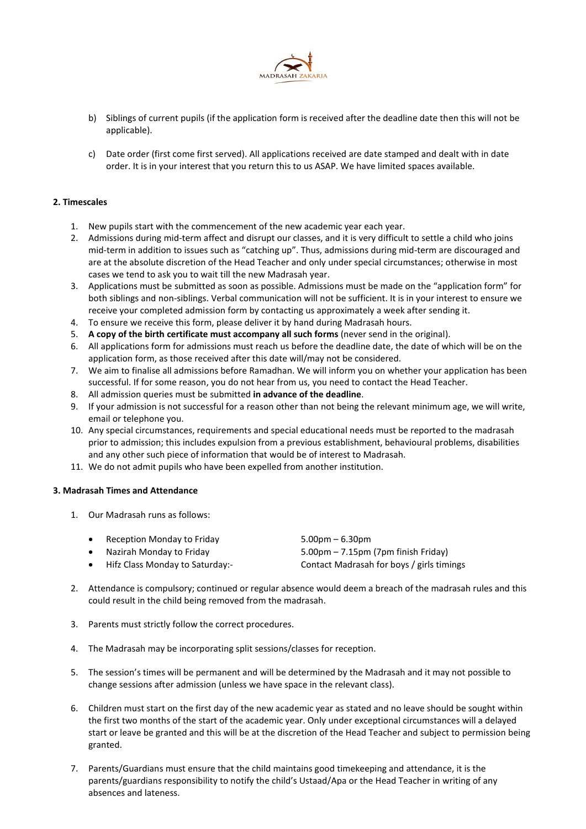

- b) Siblings of current pupils (if the application form is received after the deadline date then this will not be applicable).
- c) Date order (first come first served). All applications received are date stamped and dealt with in date order. It is in your interest that you return this to us ASAP. We have limited spaces available.

## 2. Timescales

- 1. New pupils start with the commencement of the new academic year each year.
- 2. Admissions during mid-term affect and disrupt our classes, and it is very difficult to settle a child who joins mid-term in addition to issues such as "catching up". Thus, admissions during mid-term are discouraged and are at the absolute discretion of the Head Teacher and only under special circumstances; otherwise in most cases we tend to ask you to wait till the new Madrasah year.
- 3. Applications must be submitted as soon as possible. Admissions must be made on the "application form" for both siblings and non-siblings. Verbal communication will not be sufficient. It is in your interest to ensure we receive your completed admission form by contacting us approximately a week after sending it.
- 4. To ensure we receive this form, please deliver it by hand during Madrasah hours.
- 5. A copy of the birth certificate must accompany all such forms (never send in the original).
- 6. All applications form for admissions must reach us before the deadline date, the date of which will be on the application form, as those received after this date will/may not be considered.
- 7. We aim to finalise all admissions before Ramadhan. We will inform you on whether your application has been successful. If for some reason, you do not hear from us, you need to contact the Head Teacher.
- 8. All admission queries must be submitted in advance of the deadline.
- 9. If your admission is not successful for a reason other than not being the relevant minimum age, we will write, email or telephone you.
- 10. Any special circumstances, requirements and special educational needs must be reported to the madrasah prior to admission; this includes expulsion from a previous establishment, behavioural problems, disabilities and any other such piece of information that would be of interest to Madrasah.
- 11. We do not admit pupils who have been expelled from another institution.

#### 3. Madrasah Times and Attendance

1. Our Madrasah runs as follows:

| • Reception Monday to Friday    | $5.00 \text{pm} - 6.30 \text{pm}$                     |
|---------------------------------|-------------------------------------------------------|
| Nazirah Monday to Friday        | $5.00 \text{pm} - 7.15 \text{pm}$ (7pm finish Friday) |
| Hifz Class Monday to Saturday:- | Contact Madrasah for boys / girls timings             |

- 2. Attendance is compulsory; continued or regular absence would deem a breach of the madrasah rules and this could result in the child being removed from the madrasah.
- 3. Parents must strictly follow the correct procedures.
- 4. The Madrasah may be incorporating split sessions/classes for reception.
- 5. The session's times will be permanent and will be determined by the Madrasah and it may not possible to change sessions after admission (unless we have space in the relevant class).
- 6. Children must start on the first day of the new academic year as stated and no leave should be sought within the first two months of the start of the academic year. Only under exceptional circumstances will a delayed start or leave be granted and this will be at the discretion of the Head Teacher and subject to permission being granted.
- 7. Parents/Guardians must ensure that the child maintains good timekeeping and attendance, it is the parents/guardians responsibility to notify the child's Ustaad/Apa or the Head Teacher in writing of any absences and lateness.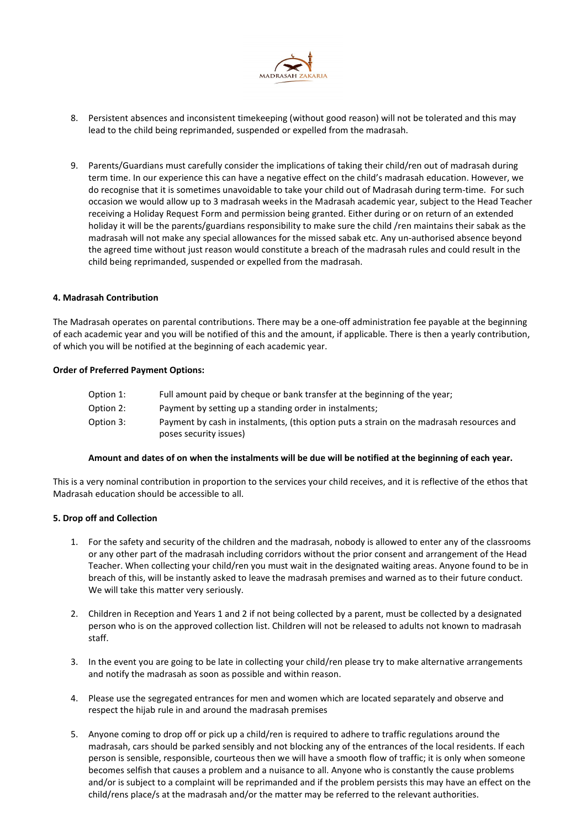

- 8. Persistent absences and inconsistent timekeeping (without good reason) will not be tolerated and this may lead to the child being reprimanded, suspended or expelled from the madrasah.
- 9. Parents/Guardians must carefully consider the implications of taking their child/ren out of madrasah during term time. In our experience this can have a negative effect on the child's madrasah education. However, we do recognise that it is sometimes unavoidable to take your child out of Madrasah during term-time. For such occasion we would allow up to 3 madrasah weeks in the Madrasah academic year, subject to the Head Teacher receiving a Holiday Request Form and permission being granted. Either during or on return of an extended holiday it will be the parents/guardians responsibility to make sure the child /ren maintains their sabak as the madrasah will not make any special allowances for the missed sabak etc. Any un-authorised absence beyond the agreed time without just reason would constitute a breach of the madrasah rules and could result in the child being reprimanded, suspended or expelled from the madrasah.

#### 4. Madrasah Contribution

The Madrasah operates on parental contributions. There may be a one-off administration fee payable at the beginning of each academic year and you will be notified of this and the amount, if applicable. There is then a yearly contribution, of which you will be notified at the beginning of each academic year.

#### Order of Preferred Payment Options:

| Option 1: | Full amount paid by cheque or bank transfer at the beginning of the year;                                          |
|-----------|--------------------------------------------------------------------------------------------------------------------|
| Option 2: | Payment by setting up a standing order in instalments;                                                             |
| Option 3: | Payment by cash in instalments, (this option puts a strain on the madrasah resources and<br>poses security issues) |

#### Amount and dates of on when the instalments will be due will be notified at the beginning of each year.

This is a very nominal contribution in proportion to the services your child receives, and it is reflective of the ethos that Madrasah education should be accessible to all.

## 5. Drop off and Collection

- 1. For the safety and security of the children and the madrasah, nobody is allowed to enter any of the classrooms or any other part of the madrasah including corridors without the prior consent and arrangement of the Head Teacher. When collecting your child/ren you must wait in the designated waiting areas. Anyone found to be in breach of this, will be instantly asked to leave the madrasah premises and warned as to their future conduct. We will take this matter very seriously.
- 2. Children in Reception and Years 1 and 2 if not being collected by a parent, must be collected by a designated person who is on the approved collection list. Children will not be released to adults not known to madrasah staff.
- 3. In the event you are going to be late in collecting your child/ren please try to make alternative arrangements and notify the madrasah as soon as possible and within reason.
- 4. Please use the segregated entrances for men and women which are located separately and observe and respect the hijab rule in and around the madrasah premises
- 5. Anyone coming to drop off or pick up a child/ren is required to adhere to traffic regulations around the madrasah, cars should be parked sensibly and not blocking any of the entrances of the local residents. If each person is sensible, responsible, courteous then we will have a smooth flow of traffic; it is only when someone becomes selfish that causes a problem and a nuisance to all. Anyone who is constantly the cause problems and/or is subject to a complaint will be reprimanded and if the problem persists this may have an effect on the child/rens place/s at the madrasah and/or the matter may be referred to the relevant authorities.